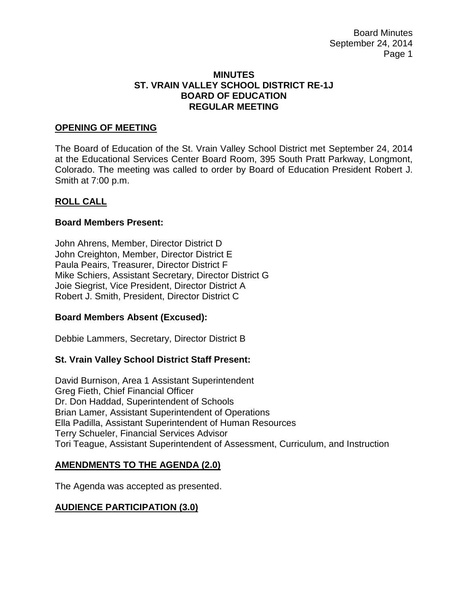Board Minutes September 24, 2014 Page 1

#### **MINUTES ST. VRAIN VALLEY SCHOOL DISTRICT RE-1J BOARD OF EDUCATION REGULAR MEETING**

#### **OPENING OF MEETING**

The Board of Education of the St. Vrain Valley School District met September 24, 2014 at the Educational Services Center Board Room, 395 South Pratt Parkway, Longmont, Colorado. The meeting was called to order by Board of Education President Robert J. Smith at 7:00 p.m.

#### **ROLL CALL**

#### **Board Members Present:**

John Ahrens, Member, Director District D John Creighton, Member, Director District E Paula Peairs, Treasurer, Director District F Mike Schiers, Assistant Secretary, Director District G Joie Siegrist, Vice President, Director District A Robert J. Smith, President, Director District C

### **Board Members Absent (Excused):**

Debbie Lammers, Secretary, Director District B

### **St. Vrain Valley School District Staff Present:**

David Burnison, Area 1 Assistant Superintendent Greg Fieth, Chief Financial Officer Dr. Don Haddad, Superintendent of Schools Brian Lamer, Assistant Superintendent of Operations Ella Padilla, Assistant Superintendent of Human Resources Terry Schueler, Financial Services Advisor Tori Teague, Assistant Superintendent of Assessment, Curriculum, and Instruction

#### **AMENDMENTS TO THE AGENDA (2.0)**

The Agenda was accepted as presented.

### **AUDIENCE PARTICIPATION (3.0)**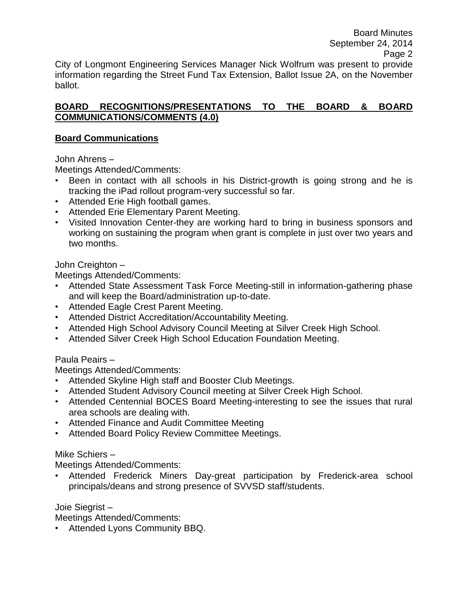Board Minutes September 24, 2014 Page 2 City of Longmont Engineering Services Manager Nick Wolfrum was present to provide information regarding the Street Fund Tax Extension, Ballot Issue 2A, on the November ballot.

### **BOARD RECOGNITIONS/PRESENTATIONS TO THE BOARD & BOARD COMMUNICATIONS/COMMENTS (4.0)**

# **Board Communications**

John Ahrens –

Meetings Attended/Comments:

- Been in contact with all schools in his District-growth is going strong and he is tracking the iPad rollout program-very successful so far.
- Attended Erie High football games.
- Attended Erie Elementary Parent Meeting.
- Visited Innovation Center-they are working hard to bring in business sponsors and working on sustaining the program when grant is complete in just over two years and two months.

### John Creighton –

Meetings Attended/Comments:

- Attended State Assessment Task Force Meeting-still in information-gathering phase and will keep the Board/administration up-to-date.
- Attended Eagle Crest Parent Meeting.
- Attended District Accreditation/Accountability Meeting.
- Attended High School Advisory Council Meeting at Silver Creek High School.
- Attended Silver Creek High School Education Foundation Meeting.

Paula Peairs –

Meetings Attended/Comments:

- Attended Skyline High staff and Booster Club Meetings.
- Attended Student Advisory Council meeting at Silver Creek High School.
- Attended Centennial BOCES Board Meeting-interesting to see the issues that rural area schools are dealing with.
- Attended Finance and Audit Committee Meeting
- Attended Board Policy Review Committee Meetings.

# Mike Schiers –

Meetings Attended/Comments:

Attended Frederick Miners Day-great participation by Frederick-area school principals/deans and strong presence of SVVSD staff/students.

Joie Siegrist –

Meetings Attended/Comments:

• Attended Lyons Community BBQ.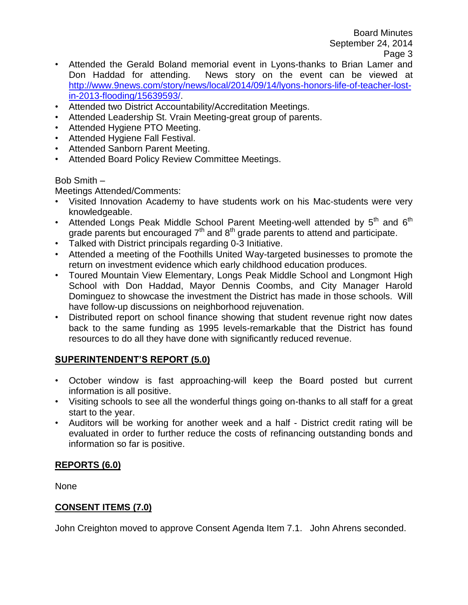- Attended the Gerald Boland memorial event in Lyons-thanks to Brian Lamer and Don Haddad for attending. News story on the event can be viewed at [http://www.9news.com/story/news/local/2014/09/14/lyons-honors-life-of-teacher-lost](http://www.9news.com/story/news/local/2014/09/14/lyons-honors-life-of-teacher-lost-in-2013-flooding/15639593/)[in-2013-flooding/15639593/.](http://www.9news.com/story/news/local/2014/09/14/lyons-honors-life-of-teacher-lost-in-2013-flooding/15639593/)
- Attended two District Accountability/Accreditation Meetings.
- Attended Leadership St. Vrain Meeting-great group of parents.
- Attended Hygiene PTO Meeting.
- Attended Hygiene Fall Festival.
- Attended Sanborn Parent Meeting.
- Attended Board Policy Review Committee Meetings.

### Bob Smith –

Meetings Attended/Comments:

- Visited Innovation Academy to have students work on his Mac-students were very knowledgeable.
- Attended Longs Peak Middle School Parent Meeting-well attended by  $5<sup>th</sup>$  and  $6<sup>th</sup>$ grade parents but encouraged  $7<sup>th</sup>$  and  $8<sup>th</sup>$  grade parents to attend and participate.
- Talked with District principals regarding 0-3 Initiative.
- Attended a meeting of the Foothills United Way-targeted businesses to promote the return on investment evidence which early childhood education produces.
- Toured Mountain View Elementary, Longs Peak Middle School and Longmont High School with Don Haddad, Mayor Dennis Coombs, and City Manager Harold Dominguez to showcase the investment the District has made in those schools. Will have follow-up discussions on neighborhood rejuvenation.
- Distributed report on school finance showing that student revenue right now dates back to the same funding as 1995 levels-remarkable that the District has found resources to do all they have done with significantly reduced revenue.

# **SUPERINTENDENT'S REPORT (5.0)**

- October window is fast approaching-will keep the Board posted but current information is all positive.
- Visiting schools to see all the wonderful things going on-thanks to all staff for a great start to the year.
- Auditors will be working for another week and a half District credit rating will be evaluated in order to further reduce the costs of refinancing outstanding bonds and information so far is positive.

# **REPORTS (6.0)**

None

# **CONSENT ITEMS (7.0)**

John Creighton moved to approve Consent Agenda Item 7.1. John Ahrens seconded.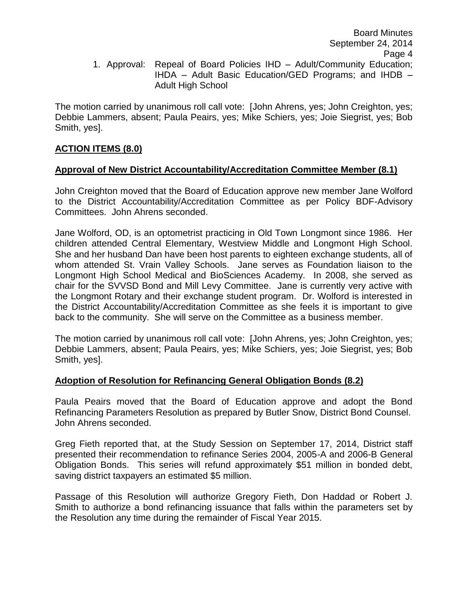The motion carried by unanimous roll call vote: [John Ahrens, yes; John Creighton, yes; Debbie Lammers, absent; Paula Peairs, yes; Mike Schiers, yes; Joie Siegrist, yes; Bob Smith, yes].

# **ACTION ITEMS (8.0)**

# **Approval of New District Accountability/Accreditation Committee Member (8.1)**

John Creighton moved that the Board of Education approve new member Jane Wolford to the District Accountability/Accreditation Committee as per Policy BDF-Advisory Committees. John Ahrens seconded.

Jane Wolford, OD, is an optometrist practicing in Old Town Longmont since 1986. Her children attended Central Elementary, Westview Middle and Longmont High School. She and her husband Dan have been host parents to eighteen exchange students, all of whom attended St. Vrain Valley Schools. Jane serves as Foundation liaison to the Longmont High School Medical and BioSciences Academy. In 2008, she served as chair for the SVVSD Bond and Mill Levy Committee. Jane is currently very active with the Longmont Rotary and their exchange student program. Dr. Wolford is interested in the District Accountability/Accreditation Committee as she feels it is important to give back to the community. She will serve on the Committee as a business member.

The motion carried by unanimous roll call vote: [John Ahrens, yes; John Creighton, yes; Debbie Lammers, absent; Paula Peairs, yes; Mike Schiers, yes; Joie Siegrist, yes; Bob Smith, yes].

### **Adoption of Resolution for Refinancing General Obligation Bonds (8.2)**

Paula Peairs moved that the Board of Education approve and adopt the Bond Refinancing Parameters Resolution as prepared by Butler Snow, District Bond Counsel. John Ahrens seconded.

Greg Fieth reported that, at the Study Session on September 17, 2014, District staff presented their recommendation to refinance Series 2004, 2005-A and 2006-B General Obligation Bonds. This series will refund approximately \$51 million in bonded debt, saving district taxpayers an estimated \$5 million.

Passage of this Resolution will authorize Gregory Fieth, Don Haddad or Robert J. Smith to authorize a bond refinancing issuance that falls within the parameters set by the Resolution any time during the remainder of Fiscal Year 2015.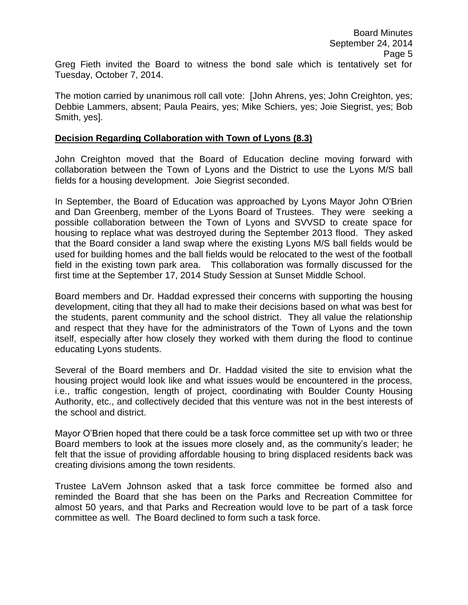The motion carried by unanimous roll call vote: [John Ahrens, yes; John Creighton, yes; Debbie Lammers, absent; Paula Peairs, yes; Mike Schiers, yes; Joie Siegrist, yes; Bob Smith, yes].

### **Decision Regarding Collaboration with Town of Lyons (8.3)**

Tuesday, October 7, 2014.

John Creighton moved that the Board of Education decline moving forward with collaboration between the Town of Lyons and the District to use the Lyons M/S ball fields for a housing development. Joie Siegrist seconded.

In September, the Board of Education was approached by Lyons Mayor John O'Brien and Dan Greenberg, member of the Lyons Board of Trustees. They were seeking a possible collaboration between the Town of Lyons and SVVSD to create space for housing to replace what was destroyed during the September 2013 flood. They asked that the Board consider a land swap where the existing Lyons M/S ball fields would be used for building homes and the ball fields would be relocated to the west of the football field in the existing town park area. This collaboration was formally discussed for the first time at the September 17, 2014 Study Session at Sunset Middle School.

Board members and Dr. Haddad expressed their concerns with supporting the housing development, citing that they all had to make their decisions based on what was best for the students, parent community and the school district. They all value the relationship and respect that they have for the administrators of the Town of Lyons and the town itself, especially after how closely they worked with them during the flood to continue educating Lyons students.

Several of the Board members and Dr. Haddad visited the site to envision what the housing project would look like and what issues would be encountered in the process, i.e., traffic congestion, length of project, coordinating with Boulder County Housing Authority, etc., and collectively decided that this venture was not in the best interests of the school and district.

Mayor O'Brien hoped that there could be a task force committee set up with two or three Board members to look at the issues more closely and, as the community's leader; he felt that the issue of providing affordable housing to bring displaced residents back was creating divisions among the town residents.

Trustee LaVern Johnson asked that a task force committee be formed also and reminded the Board that she has been on the Parks and Recreation Committee for almost 50 years, and that Parks and Recreation would love to be part of a task force committee as well. The Board declined to form such a task force.